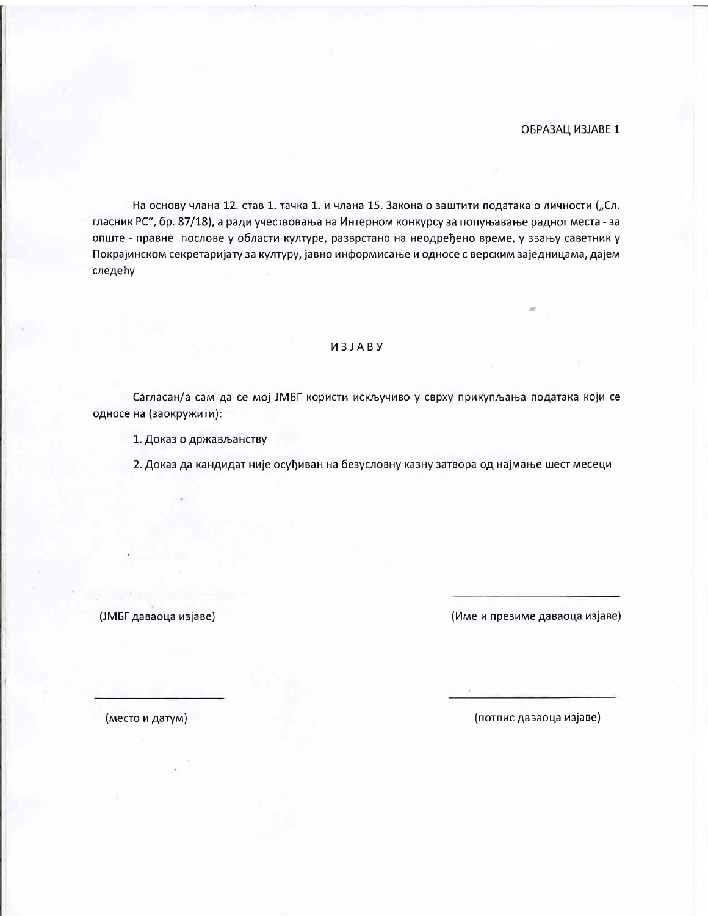ОБРАЗАЦ ИЗЈАВЕ 1

На основу члана 12. став 1. тачка 1. и члана 15. Закона о заштити података о личности ("Сл. гласник РС", бр. 87/18), а ради учествовања на Интерном конкурсу за попуњавање радног места - за опште - правне послове у области културе, разврстано на неодређено време, у звању саветник у Покрајинском секретаријату за културу, јавно информисање и односе с верским заједницама, дајем следећу

## *U3JABY*

Сагласан/а сам да се мој ЈМБГ користи искључиво у сврху прикупљања података који се односе на (заокружити):

1. Доказ о држављанству

2. Доказ да кандидат није осуђиван на безусловну казну затвора од најмање шест месеци

(ЈМБГ даваоца изјаве)

(Име и презиме даваоца изјаве)

(место и датум)

(потпис даваоца изјаве)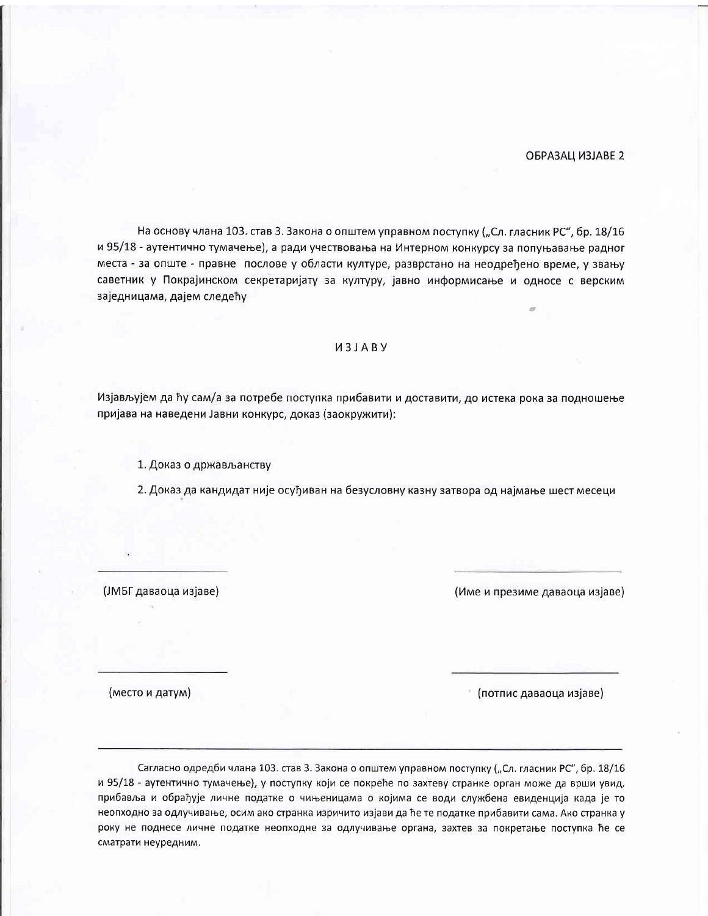ОБРАЗАЦ ИЗЈАВЕ 2

На основу члана 103. став 3. Закона о општем управном поступку ("Сл. гласник РС", бр. 18/16 и 95/18 - аутентично тумачење), а ради учествовања на Интерном конкурсу за попуњавање радног места - за опште - правне послове у области културе, разврстано на неодређено време, у звању саветник у Покрајинском секретаријату за културу, јавно информисање и односе с верским заједницама, дајем следећу

## *U3JABY*

Изјављујем да ћу сам/а за потребе поступка прибавити и доставити, до истека рока за подношење пријава на наведени Јавни конкурс, доказ (заокружити):

1. Доказ о држављанству

2. Доказ да кандидат није осуђиван на безусловну казну затвора од најмање шест месеци

(ЈМБГ даваоца изјаве)

(Име и презиме даваоца изјаве)

(место и датум)

\* (потпис даваоца изјаве)

Сагласно одредби члана 103. став 3. Закона о општем управном поступку ("Сл. гласник РС", бр. 18/16 и 95/18 - аутентично тумачење), у поступку који се покреће по захтеву странке орган може да врши увид, прибавља и обрађује личне податке о чињеницама о којима се води службена евиденција када је то неопходно за одлучивање, осим ако странка изричито изјави да ће те податке прибавити сама. Ако странка у року не поднесе личне податке неопходне за одлучивање органа, захтев за покретање поступка ће се сматрати неуредним.